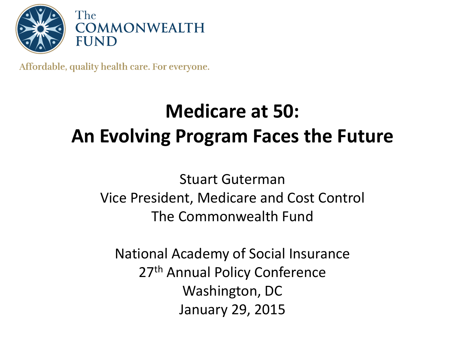

Affordable, quality health care. For everyone.

# **Medicare at 50: An Evolving Program Faces the Future**

Stuart Guterman Vice President, Medicare and Cost Control The Commonwealth Fund

National Academy of Social Insurance 27<sup>th</sup> Annual Policy Conference Washington, DC January 29, 2015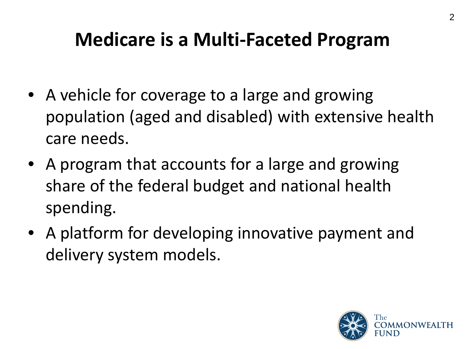### **Medicare is a Multi-Faceted Program**

- A vehicle for coverage to a large and growing population (aged and disabled) with extensive health care needs.
- A program that accounts for a large and growing share of the federal budget and national health spending.
- A platform for developing innovative payment and delivery system models.

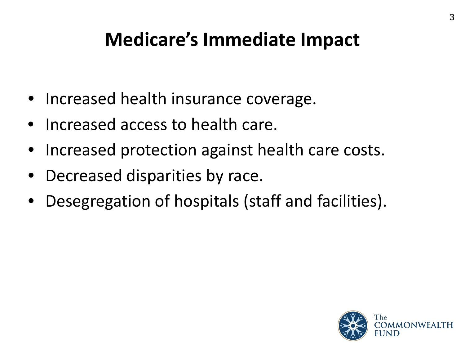### **Medicare's Immediate Impact**

- Increased health insurance coverage.
- Increased access to health care.
- Increased protection against health care costs.
- Decreased disparities by race.
- Desegregation of hospitals (staff and facilities).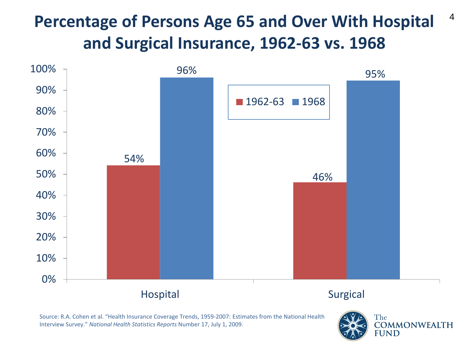### **Percentage of Persons Age 65 and Over With Hospital and Surgical Insurance, 1962-63 vs. 1968**



Source: R.A. Cohen et al. "Health Insurance Coverage Trends, 1959-2007: Estimates from the National Health Interview Survey." *National Health Statistics Reports* Number 17, July 1, 2009.



4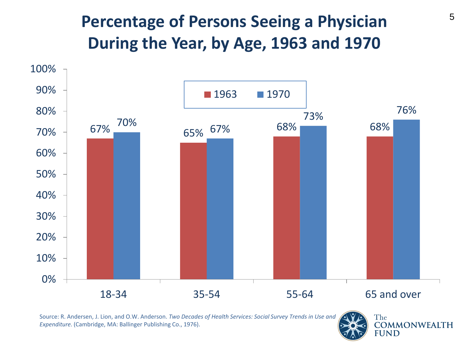### **Percentage of Persons Seeing a Physician During the Year, by Age, 1963 and 1970**



Source: R. Andersen, J. Lion, and O.W. Anderson. *Two Decades of Health Services: Social Survey Trends in Use and Expenditure.* (Cambridge, MA: Ballinger Publishing Co., 1976).

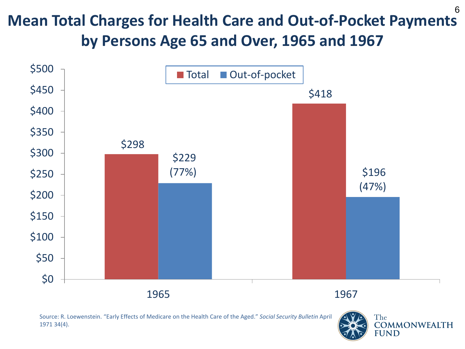#### **Mean Total Charges for Health Care and Out-of-Pocket Payments by Persons Age 65 and Over, 1965 and 1967**  6



Source: R. Loewenstein. "Early Effects of Medicare on the Health Care of the Aged." *Social Security Bulletin* April 1971 34(4).

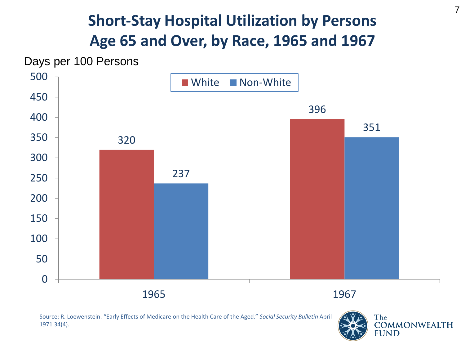#### **Short-Stay Hospital Utilization by Persons Age 65 and Over, by Race, 1965 and 1967**



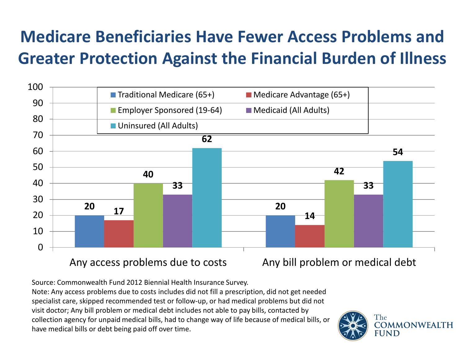### **Medicare Beneficiaries Have Fewer Access Problems and Greater Protection Against the Financial Burden of Illness**



Source: Commonwealth Fund 2012 Biennial Health Insurance Survey. Note: Any access problems due to costs includes did not fill a prescription, did not get needed specialist care, skipped recommended test or follow-up, or had medical problems but did not visit doctor; Any bill problem or medical debt includes not able to pay bills, contacted by collection agency for unpaid medical bills, had to change way of life because of medical bills, or have medical bills or debt being paid off over time.

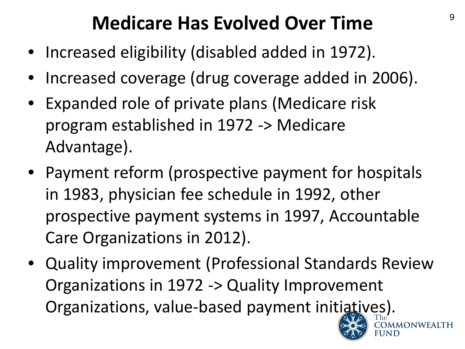## **Medicare Has Evolved Over Time**

- Increased eligibility (disabled added in 1972).
- Increased coverage (drug coverage added in 2006).
- Expanded role of private plans (Medicare risk program established in 1972 -> Medicare Advantage).
- Payment reform (prospective payment for hospitals in 1983, physician fee schedule in 1992, other prospective payment systems in 1997, Accountable Care Organizations in 2012).
- Quality improvement (Professional Standards Review Organizations in 1972 -> Quality Improvement Organizations, value-based payment initiatives).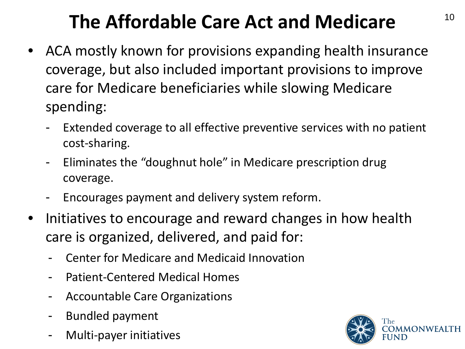# **The Affordable Care Act and Medicare**

- ACA mostly known for provisions expanding health insurance coverage, but also included important provisions to improve care for Medicare beneficiaries while slowing Medicare spending:
	- Extended coverage to all effective preventive services with no patient cost-sharing.
	- Eliminates the "doughnut hole" in Medicare prescription drug coverage.
	- Encourages payment and delivery system reform.
- Initiatives to encourage and reward changes in how health care is organized, delivered, and paid for:
	- Center for Medicare and Medicaid Innovation
	- Patient-Centered Medical Homes
	- Accountable Care Organizations
	- Bundled payment
	- Multi-payer initiatives

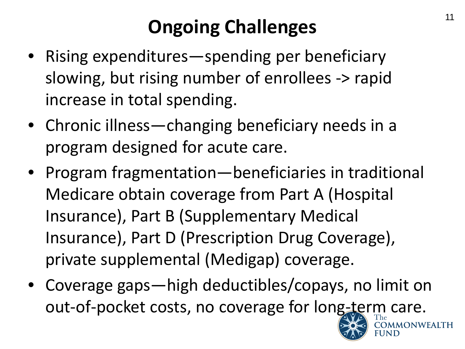# **Ongoing Challenges**

- Rising expenditures—spending per beneficiary slowing, but rising number of enrollees -> rapid increase in total spending.
- Chronic illness—changing beneficiary needs in a program designed for acute care.
- Program fragmentation—beneficiaries in traditional Medicare obtain coverage from Part A (Hospital Insurance), Part B (Supplementary Medical Insurance), Part D (Prescription Drug Coverage), private supplemental (Medigap) coverage.
- Coverage gaps—high deductibles/copays, no limit on out-of-pocket costs, no coverage for long-term care.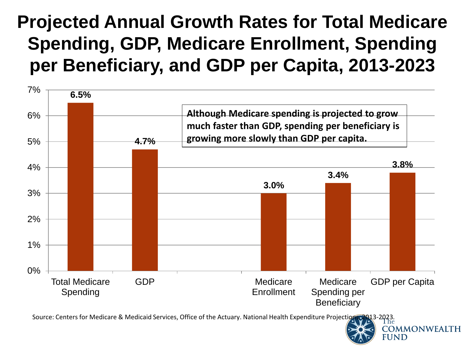### **Projected Annual Growth Rates for Total Medicare Spending, GDP, Medicare Enrollment, Spending per Beneficiary, and GDP per Capita, 2013-2023**



Source: Centers for Medicare & Medicaid Services, Office of the Actuary. National Health Expenditure Projection

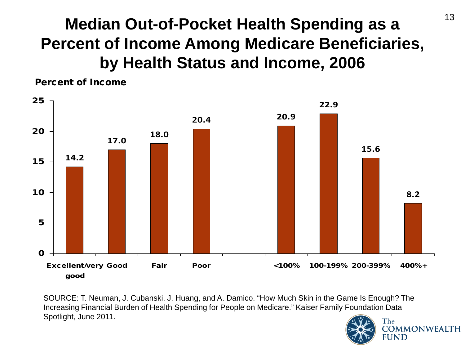### **Median Out-of-Pocket Health Spending as a Percent of Income Among Medicare Beneficiaries, by Health Status and Income, 2006**



SOURCE: T. Neuman, J. Cubanski, J. Huang, and A. Damico. "How Much Skin in the Game Is Enough? The Increasing Financial Burden of Health Spending for People on Medicare." Kaiser Family Foundation Data Spotlight, June 2011.

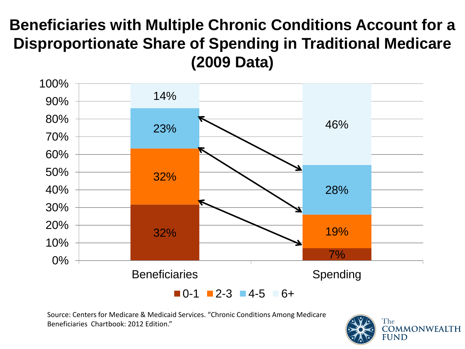#### **Beneficiaries with Multiple Chronic Conditions Account for a Disproportionate Share of Spending in Traditional Medicare (2009 Data)**



Source: Centers for Medicare & Medicaid Services. "Chronic Conditions Among Medicare Beneficiaries Chartbook: 2012 Edition."

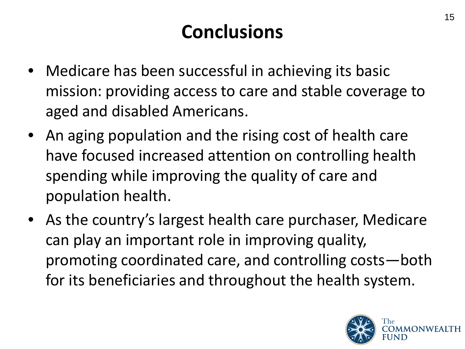# **Conclusions**

- Medicare has been successful in achieving its basic mission: providing access to care and stable coverage to aged and disabled Americans.
- An aging population and the rising cost of health care have focused increased attention on controlling health spending while improving the quality of care and population health.
- As the country's largest health care purchaser, Medicare can play an important role in improving quality, promoting coordinated care, and controlling costs—both for its beneficiaries and throughout the health system.